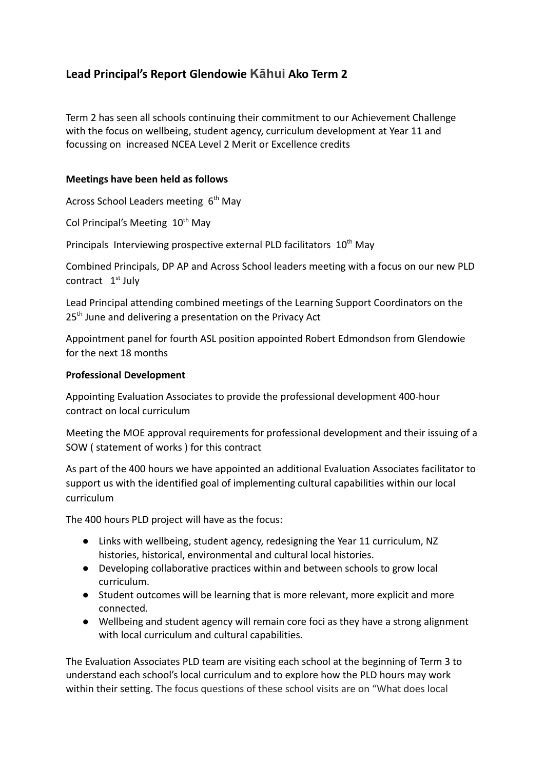# **Lead Principal's Report Glendowie Kāhui Ako Term 2**

Term 2 has seen all schools continuing their commitment to our Achievement Challenge with the focus on wellbeing, student agency, curriculum development at Year 11 and focussing on increased NCEA Level 2 Merit or Excellence credits

## **Meetings have been held as follows**

Across School Leaders meeting  $6<sup>th</sup>$  May

Col Principal's Meeting 10<sup>th</sup> May

Principals Interviewing prospective external PLD facilitators  $10<sup>th</sup>$  May

Combined Principals, DP AP and Across School leaders meeting with a focus on our new PLD contract 1<sup>st</sup> July

Lead Principal attending combined meetings of the Learning Support Coordinators on the 25<sup>th</sup> June and delivering a presentation on the Privacy Act

Appointment panel for fourth ASL position appointed Robert Edmondson from Glendowie for the next 18 months

## **Professional Development**

Appointing Evaluation Associates to provide the professional development 400-hour contract on local curriculum

Meeting the MOE approval requirements for professional development and their issuing of a SOW ( statement of works ) for this contract

As part of the 400 hours we have appointed an additional Evaluation Associates facilitator to support us with the identified goal of implementing cultural capabilities within our local curriculum

The 400 hours PLD project will have as the focus:

- Links with wellbeing, student agency, redesigning the Year 11 curriculum, NZ histories, historical, environmental and cultural local histories.
- Developing collaborative practices within and between schools to grow local curriculum.
- Student outcomes will be learning that is more relevant, more explicit and more connected.
- Wellbeing and student agency will remain core foci as they have a strong alignment with local curriculum and cultural capabilities.

The Evaluation Associates PLD team are visiting each school at the beginning of Term 3 to understand each school's local curriculum and to explore how the PLD hours may work within their setting. The focus questions of these school visits are on "What does local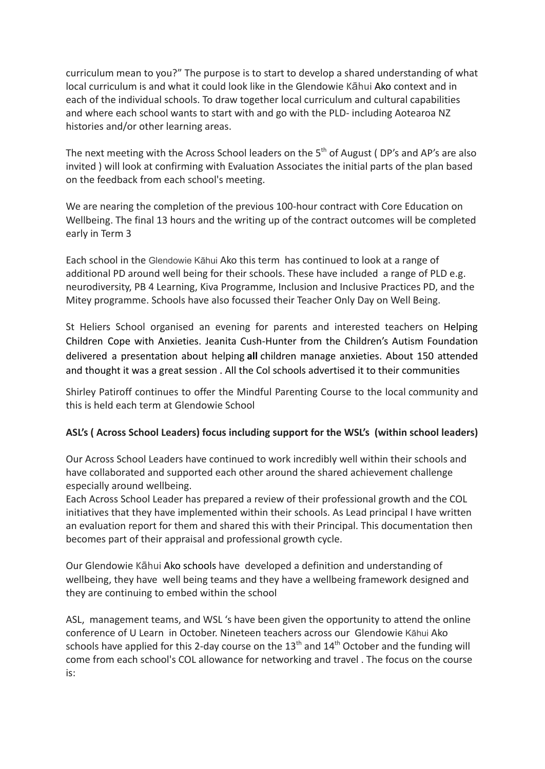curriculum mean to you?" The purpose is to start to develop a shared understanding of what local curriculum is and what it could look like in the Glendowie Kāhui Ako context and in each of the individual schools. To draw together local curriculum and cultural capabilities and where each school wants to start with and go with the PLD- including Aotearoa NZ histories and/or other learning areas.

The next meeting with the Across School leaders on the  $5<sup>th</sup>$  of August (DP's and AP's are also invited ) will look at confirming with Evaluation Associates the initial parts of the plan based on the feedback from each school's meeting.

We are nearing the completion of the previous 100-hour contract with Core Education on Wellbeing. The final 13 hours and the writing up of the contract outcomes will be completed early in Term 3

Each school in the Glendowie Kāhui Ako this term has continued to look at a range of additional PD around well being for their schools. These have included a range of PLD e.g. neurodiversity, PB 4 Learning, Kiva Programme, Inclusion and Inclusive Practices PD, and the Mitey programme. Schools have also focussed their Teacher Only Day on Well Being.

St Heliers School organised an evening for parents and interested teachers on Helping Children Cope with Anxieties. Jeanita Cush-Hunter from the Children's Autism Foundation delivered a presentation about helping **all** children manage anxieties. About 150 attended and thought it was a great session . All the Col schools advertised it to their communities

Shirley Patiroff continues to offer the Mindful Parenting Course to the local community and this is held each term at Glendowie School

## **ASL's ( Across School Leaders) focus including support for the WSL's (within school leaders)**

Our Across School Leaders have continued to work incredibly well within their schools and have collaborated and supported each other around the shared achievement challenge especially around wellbeing.

Each Across School Leader has prepared a review of their professional growth and the COL initiatives that they have implemented within their schools. As Lead principal I have written an evaluation report for them and shared this with their Principal. This documentation then becomes part of their appraisal and professional growth cycle.

Our Glendowie Kāhui Ako schools have developed a definition and understanding of wellbeing, they have well being teams and they have a wellbeing framework designed and they are continuing to embed within the school

ASL, management teams, and WSL 's have been given the opportunity to attend the online conference of U Learn in October. Nineteen teachers across our Glendowie Kāhui Ako schools have applied for this 2-day course on the  $13<sup>th</sup>$  and  $14<sup>th</sup>$  October and the funding will come from each school's COL allowance for networking and travel . The focus on the course is: